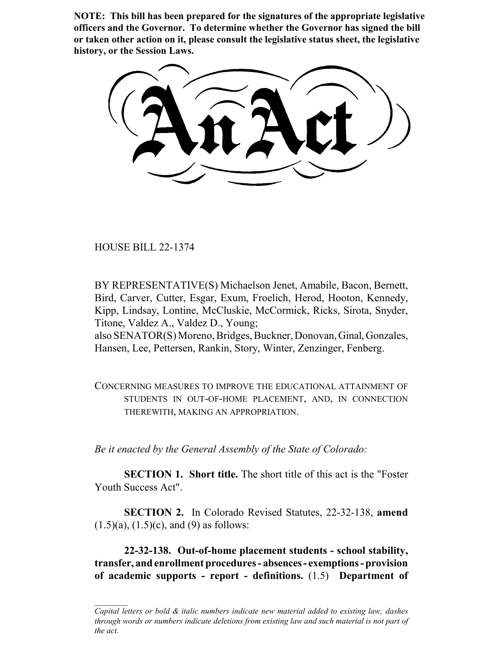**NOTE: This bill has been prepared for the signatures of the appropriate legislative officers and the Governor. To determine whether the Governor has signed the bill or taken other action on it, please consult the legislative status sheet, the legislative history, or the Session Laws.**

HOUSE BILL 22-1374

BY REPRESENTATIVE(S) Michaelson Jenet, Amabile, Bacon, Bernett, Bird, Carver, Cutter, Esgar, Exum, Froelich, Herod, Hooton, Kennedy, Kipp, Lindsay, Lontine, McCluskie, McCormick, Ricks, Sirota, Snyder, Titone, Valdez A., Valdez D., Young;

also SENATOR(S) Moreno, Bridges, Buckner, Donovan, Ginal, Gonzales, Hansen, Lee, Pettersen, Rankin, Story, Winter, Zenzinger, Fenberg.

CONCERNING MEASURES TO IMPROVE THE EDUCATIONAL ATTAINMENT OF STUDENTS IN OUT-OF-HOME PLACEMENT, AND, IN CONNECTION THEREWITH, MAKING AN APPROPRIATION.

*Be it enacted by the General Assembly of the State of Colorado:*

**SECTION 1. Short title.** The short title of this act is the "Foster" Youth Success Act".

**SECTION 2.** In Colorado Revised Statutes, 22-32-138, **amend**  $(1.5)(a)$ ,  $(1.5)(c)$ , and  $(9)$  as follows:

**22-32-138. Out-of-home placement students - school stability, transfer, and enrollment procedures - absences - exemptions - provision of academic supports - report - definitions.** (1.5) **Department of**

*Capital letters or bold & italic numbers indicate new material added to existing law; dashes through words or numbers indicate deletions from existing law and such material is not part of the act.*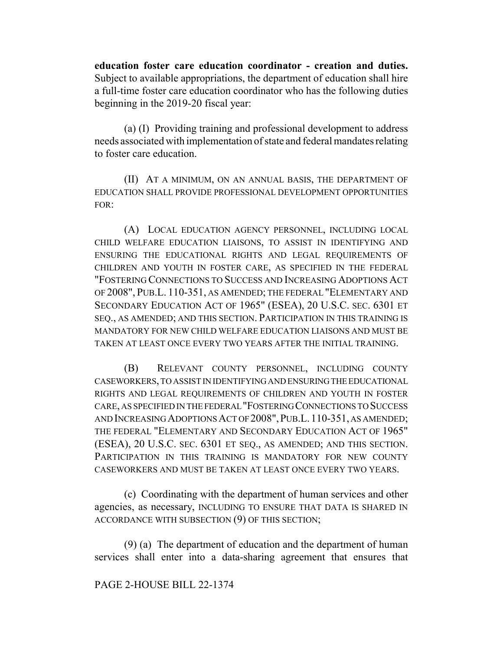**education foster care education coordinator - creation and duties.** Subject to available appropriations, the department of education shall hire a full-time foster care education coordinator who has the following duties beginning in the 2019-20 fiscal year:

(a) (I) Providing training and professional development to address needs associated with implementation of state and federal mandates relating to foster care education.

(II) AT A MINIMUM, ON AN ANNUAL BASIS, THE DEPARTMENT OF EDUCATION SHALL PROVIDE PROFESSIONAL DEVELOPMENT OPPORTUNITIES FOR:

(A) LOCAL EDUCATION AGENCY PERSONNEL, INCLUDING LOCAL CHILD WELFARE EDUCATION LIAISONS, TO ASSIST IN IDENTIFYING AND ENSURING THE EDUCATIONAL RIGHTS AND LEGAL REQUIREMENTS OF CHILDREN AND YOUTH IN FOSTER CARE, AS SPECIFIED IN THE FEDERAL "FOSTERING CONNECTIONS TO SUCCESS AND INCREASING ADOPTIONS ACT OF 2008", PUB.L. 110-351, AS AMENDED; THE FEDERAL "ELEMENTARY AND SECONDARY EDUCATION ACT OF 1965" (ESEA), 20 U.S.C. SEC. 6301 ET SEQ., AS AMENDED; AND THIS SECTION. PARTICIPATION IN THIS TRAINING IS MANDATORY FOR NEW CHILD WELFARE EDUCATION LIAISONS AND MUST BE TAKEN AT LEAST ONCE EVERY TWO YEARS AFTER THE INITIAL TRAINING.

(B) RELEVANT COUNTY PERSONNEL, INCLUDING COUNTY CASEWORKERS, TO ASSIST IN IDENTIFYING AND ENSURING THE EDUCATIONAL RIGHTS AND LEGAL REQUIREMENTS OF CHILDREN AND YOUTH IN FOSTER CARE, AS SPECIFIED IN THE FEDERAL "FOSTERING CONNECTIONS TO SUCCESS AND INCREASING ADOPTIONS ACT OF 2008",PUB.L. 110-351, AS AMENDED; THE FEDERAL "ELEMENTARY AND SECONDARY EDUCATION ACT OF 1965" (ESEA), 20 U.S.C. SEC. 6301 ET SEQ., AS AMENDED; AND THIS SECTION. PARTICIPATION IN THIS TRAINING IS MANDATORY FOR NEW COUNTY CASEWORKERS AND MUST BE TAKEN AT LEAST ONCE EVERY TWO YEARS.

(c) Coordinating with the department of human services and other agencies, as necessary, INCLUDING TO ENSURE THAT DATA IS SHARED IN ACCORDANCE WITH SUBSECTION (9) OF THIS SECTION;

(9) (a) The department of education and the department of human services shall enter into a data-sharing agreement that ensures that

## PAGE 2-HOUSE BILL 22-1374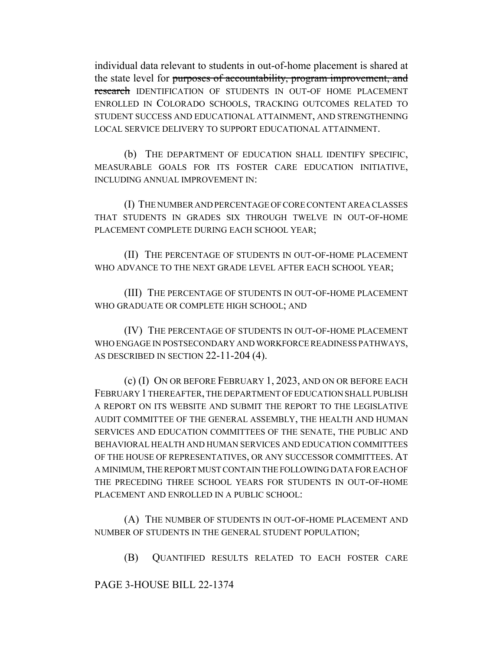individual data relevant to students in out-of-home placement is shared at the state level for purposes of accountability, program improvement, and research IDENTIFICATION OF STUDENTS IN OUT-OF HOME PLACEMENT ENROLLED IN COLORADO SCHOOLS, TRACKING OUTCOMES RELATED TO STUDENT SUCCESS AND EDUCATIONAL ATTAINMENT, AND STRENGTHENING LOCAL SERVICE DELIVERY TO SUPPORT EDUCATIONAL ATTAINMENT.

(b) THE DEPARTMENT OF EDUCATION SHALL IDENTIFY SPECIFIC, MEASURABLE GOALS FOR ITS FOSTER CARE EDUCATION INITIATIVE, INCLUDING ANNUAL IMPROVEMENT IN:

(I) THE NUMBER AND PERCENTAGE OF CORE CONTENT AREA CLASSES THAT STUDENTS IN GRADES SIX THROUGH TWELVE IN OUT-OF-HOME PLACEMENT COMPLETE DURING EACH SCHOOL YEAR;

(II) THE PERCENTAGE OF STUDENTS IN OUT-OF-HOME PLACEMENT WHO ADVANCE TO THE NEXT GRADE LEVEL AFTER EACH SCHOOL YEAR;

(III) THE PERCENTAGE OF STUDENTS IN OUT-OF-HOME PLACEMENT WHO GRADUATE OR COMPLETE HIGH SCHOOL; AND

(IV) THE PERCENTAGE OF STUDENTS IN OUT-OF-HOME PLACEMENT WHO ENGAGE IN POSTSECONDARY AND WORKFORCE READINESS PATHWAYS, AS DESCRIBED IN SECTION 22-11-204 (4).

(c) (I) ON OR BEFORE FEBRUARY 1, 2023, AND ON OR BEFORE EACH FEBRUARY 1 THEREAFTER, THE DEPARTMENT OF EDUCATION SHALL PUBLISH A REPORT ON ITS WEBSITE AND SUBMIT THE REPORT TO THE LEGISLATIVE AUDIT COMMITTEE OF THE GENERAL ASSEMBLY, THE HEALTH AND HUMAN SERVICES AND EDUCATION COMMITTEES OF THE SENATE, THE PUBLIC AND BEHAVIORAL HEALTH AND HUMAN SERVICES AND EDUCATION COMMITTEES OF THE HOUSE OF REPRESENTATIVES, OR ANY SUCCESSOR COMMITTEES. AT A MINIMUM, THE REPORT MUST CONTAIN THE FOLLOWING DATA FOR EACH OF THE PRECEDING THREE SCHOOL YEARS FOR STUDENTS IN OUT-OF-HOME PLACEMENT AND ENROLLED IN A PUBLIC SCHOOL:

(A) THE NUMBER OF STUDENTS IN OUT-OF-HOME PLACEMENT AND NUMBER OF STUDENTS IN THE GENERAL STUDENT POPULATION;

(B) QUANTIFIED RESULTS RELATED TO EACH FOSTER CARE

PAGE 3-HOUSE BILL 22-1374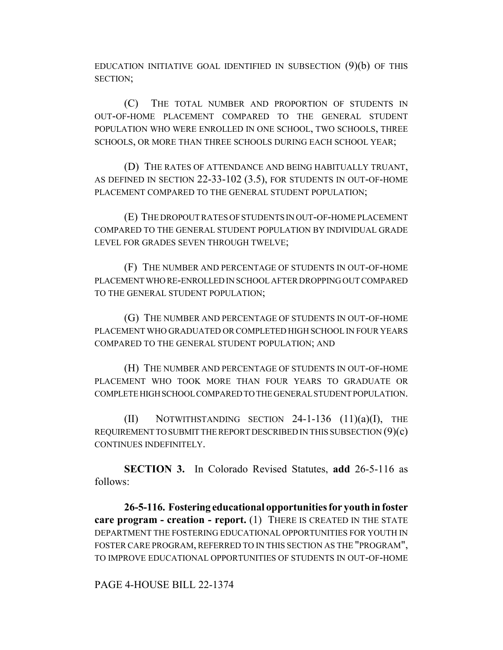EDUCATION INITIATIVE GOAL IDENTIFIED IN SUBSECTION  $(9)(b)$  OF THIS SECTION;

(C) THE TOTAL NUMBER AND PROPORTION OF STUDENTS IN OUT-OF-HOME PLACEMENT COMPARED TO THE GENERAL STUDENT POPULATION WHO WERE ENROLLED IN ONE SCHOOL, TWO SCHOOLS, THREE SCHOOLS, OR MORE THAN THREE SCHOOLS DURING EACH SCHOOL YEAR;

(D) THE RATES OF ATTENDANCE AND BEING HABITUALLY TRUANT, AS DEFINED IN SECTION 22-33-102 (3.5), FOR STUDENTS IN OUT-OF-HOME PLACEMENT COMPARED TO THE GENERAL STUDENT POPULATION;

(E) THE DROPOUT RATES OF STUDENTS IN OUT-OF-HOME PLACEMENT COMPARED TO THE GENERAL STUDENT POPULATION BY INDIVIDUAL GRADE LEVEL FOR GRADES SEVEN THROUGH TWELVE;

(F) THE NUMBER AND PERCENTAGE OF STUDENTS IN OUT-OF-HOME PLACEMENT WHO RE-ENROLLED IN SCHOOL AFTER DROPPING OUT COMPARED TO THE GENERAL STUDENT POPULATION;

(G) THE NUMBER AND PERCENTAGE OF STUDENTS IN OUT-OF-HOME PLACEMENT WHO GRADUATED OR COMPLETED HIGH SCHOOL IN FOUR YEARS COMPARED TO THE GENERAL STUDENT POPULATION; AND

(H) THE NUMBER AND PERCENTAGE OF STUDENTS IN OUT-OF-HOME PLACEMENT WHO TOOK MORE THAN FOUR YEARS TO GRADUATE OR COMPLETE HIGH SCHOOL COMPARED TO THE GENERAL STUDENT POPULATION.

 $(II)$  NOTWITHSTANDING SECTION 24-1-136  $(11)(a)(I)$ , THE REQUIREMENT TO SUBMIT THE REPORT DESCRIBED IN THIS SUBSECTION  $(9)(c)$ CONTINUES INDEFINITELY.

**SECTION 3.** In Colorado Revised Statutes, **add** 26-5-116 as follows:

**26-5-116. Fostering educational opportunities for youth in foster care program - creation - report.** (1) THERE IS CREATED IN THE STATE DEPARTMENT THE FOSTERING EDUCATIONAL OPPORTUNITIES FOR YOUTH IN FOSTER CARE PROGRAM, REFERRED TO IN THIS SECTION AS THE "PROGRAM", TO IMPROVE EDUCATIONAL OPPORTUNITIES OF STUDENTS IN OUT-OF-HOME

PAGE 4-HOUSE BILL 22-1374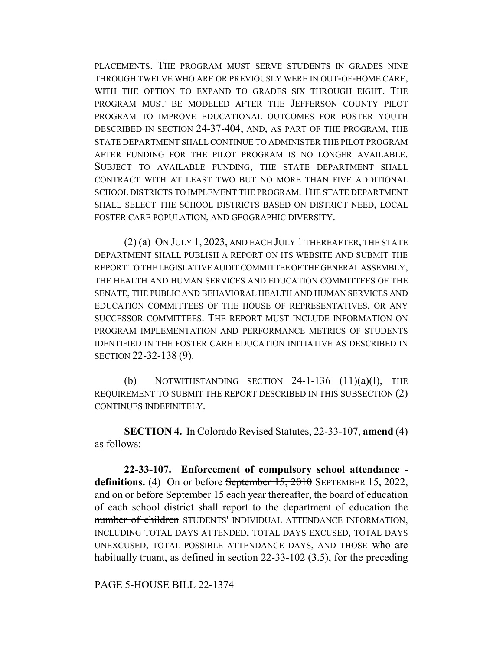PLACEMENTS. THE PROGRAM MUST SERVE STUDENTS IN GRADES NINE THROUGH TWELVE WHO ARE OR PREVIOUSLY WERE IN OUT-OF-HOME CARE, WITH THE OPTION TO EXPAND TO GRADES SIX THROUGH EIGHT. THE PROGRAM MUST BE MODELED AFTER THE JEFFERSON COUNTY PILOT PROGRAM TO IMPROVE EDUCATIONAL OUTCOMES FOR FOSTER YOUTH DESCRIBED IN SECTION 24-37-404, AND, AS PART OF THE PROGRAM, THE STATE DEPARTMENT SHALL CONTINUE TO ADMINISTER THE PILOT PROGRAM AFTER FUNDING FOR THE PILOT PROGRAM IS NO LONGER AVAILABLE. SUBJECT TO AVAILABLE FUNDING, THE STATE DEPARTMENT SHALL CONTRACT WITH AT LEAST TWO BUT NO MORE THAN FIVE ADDITIONAL SCHOOL DISTRICTS TO IMPLEMENT THE PROGRAM. THE STATE DEPARTMENT SHALL SELECT THE SCHOOL DISTRICTS BASED ON DISTRICT NEED, LOCAL FOSTER CARE POPULATION, AND GEOGRAPHIC DIVERSITY.

(2) (a) ON JULY 1, 2023, AND EACH JULY 1 THEREAFTER, THE STATE DEPARTMENT SHALL PUBLISH A REPORT ON ITS WEBSITE AND SUBMIT THE REPORT TO THE LEGISLATIVE AUDIT COMMITTEE OF THE GENERAL ASSEMBLY, THE HEALTH AND HUMAN SERVICES AND EDUCATION COMMITTEES OF THE SENATE, THE PUBLIC AND BEHAVIORAL HEALTH AND HUMAN SERVICES AND EDUCATION COMMITTEES OF THE HOUSE OF REPRESENTATIVES, OR ANY SUCCESSOR COMMITTEES. THE REPORT MUST INCLUDE INFORMATION ON PROGRAM IMPLEMENTATION AND PERFORMANCE METRICS OF STUDENTS IDENTIFIED IN THE FOSTER CARE EDUCATION INITIATIVE AS DESCRIBED IN SECTION 22-32-138 (9).

(b) NOTWITHSTANDING SECTION  $24-1-136$   $(11)(a)(I)$ , THE REQUIREMENT TO SUBMIT THE REPORT DESCRIBED IN THIS SUBSECTION (2) CONTINUES INDEFINITELY.

**SECTION 4.** In Colorado Revised Statutes, 22-33-107, **amend** (4) as follows:

**22-33-107. Enforcement of compulsory school attendance definitions.** (4) On or before September 15, 2010 SEPTEMBER 15, 2022, and on or before September 15 each year thereafter, the board of education of each school district shall report to the department of education the number of children STUDENTS' INDIVIDUAL ATTENDANCE INFORMATION, INCLUDING TOTAL DAYS ATTENDED, TOTAL DAYS EXCUSED, TOTAL DAYS UNEXCUSED, TOTAL POSSIBLE ATTENDANCE DAYS, AND THOSE who are habitually truant, as defined in section 22-33-102 (3.5), for the preceding

PAGE 5-HOUSE BILL 22-1374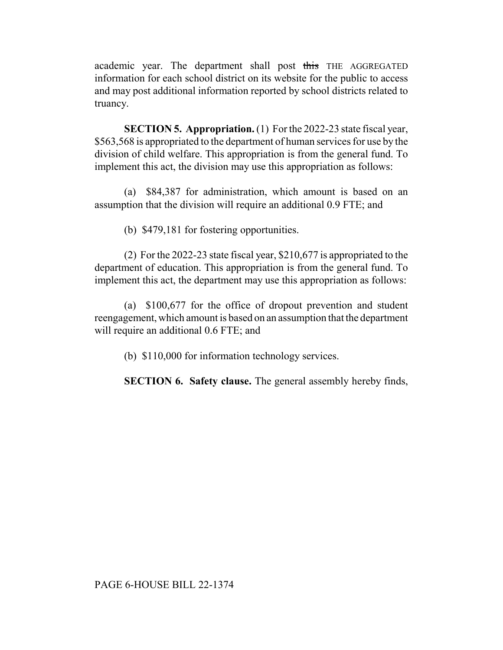academic year. The department shall post this THE AGGREGATED information for each school district on its website for the public to access and may post additional information reported by school districts related to truancy.

**SECTION 5. Appropriation.** (1) For the 2022-23 state fiscal year, \$563,568 is appropriated to the department of human services for use by the division of child welfare. This appropriation is from the general fund. To implement this act, the division may use this appropriation as follows:

(a) \$84,387 for administration, which amount is based on an assumption that the division will require an additional 0.9 FTE; and

(b) \$479,181 for fostering opportunities.

(2) For the 2022-23 state fiscal year, \$210,677 is appropriated to the department of education. This appropriation is from the general fund. To implement this act, the department may use this appropriation as follows:

(a) \$100,677 for the office of dropout prevention and student reengagement, which amount is based on an assumption that the department will require an additional 0.6 FTE; and

(b) \$110,000 for information technology services.

**SECTION 6. Safety clause.** The general assembly hereby finds,